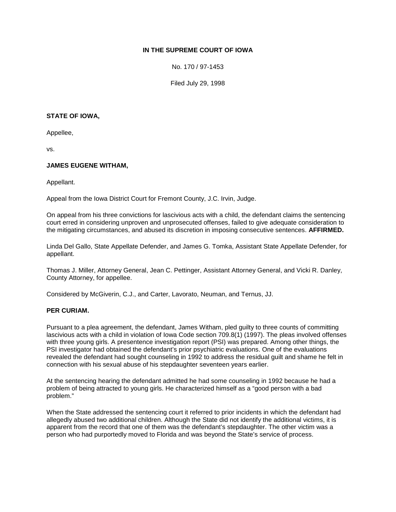# **IN THE SUPREME COURT OF IOWA**

No. 170 / 97-1453

Filed July 29, 1998

### **STATE OF IOWA,**

Appellee,

vs.

## **JAMES EUGENE WITHAM,**

Appellant.

Appeal from the Iowa District Court for Fremont County, J.C. Irvin, Judge.

On appeal from his three convictions for lascivious acts with a child, the defendant claims the sentencing court erred in considering unproven and unprosecuted offenses, failed to give adequate consideration to the mitigating circumstances, and abused its discretion in imposing consecutive sentences. **AFFIRMED.**

Linda Del Gallo, State Appellate Defender, and James G. Tomka, Assistant State Appellate Defender, for appellant.

Thomas J. Miller, Attorney General, Jean C. Pettinger, Assistant Attorney General, and Vicki R. Danley, County Attorney, for appellee.

Considered by McGiverin, C.J., and Carter, Lavorato, Neuman, and Ternus, JJ.

## **PER CURIAM.**

Pursuant to a plea agreement, the defendant, James Witham, pled guilty to three counts of committing lascivious acts with a child in violation of Iowa Code section 709.8(1) (1997). The pleas involved offenses with three young girls. A presentence investigation report (PSI) was prepared. Among other things, the PSI investigator had obtained the defendant's prior psychiatric evaluations. One of the evaluations revealed the defendant had sought counseling in 1992 to address the residual guilt and shame he felt in connection with his sexual abuse of his stepdaughter seventeen years earlier.

At the sentencing hearing the defendant admitted he had some counseling in 1992 because he had a problem of being attracted to young girls. He characterized himself as a "good person with a bad problem."

When the State addressed the sentencing court it referred to prior incidents in which the defendant had allegedly abused two additional children. Although the State did not identify the additional victims, it is apparent from the record that one of them was the defendant's stepdaughter. The other victim was a person who had purportedly moved to Florida and was beyond the State's service of process.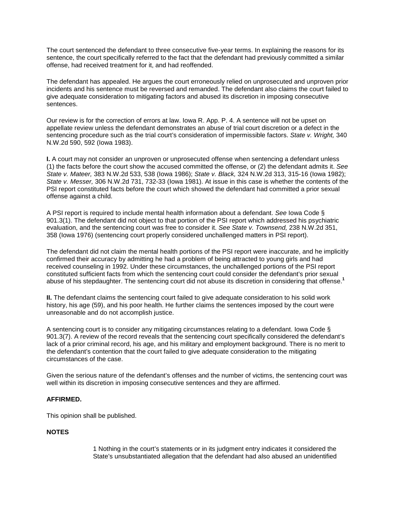The court sentenced the defendant to three consecutive five-year terms. In explaining the reasons for its sentence, the court specifically referred to the fact that the defendant had previously committed a similar offense, had received treatment for it, and had reoffended.

The defendant has appealed. He argues the court erroneously relied on unprosecuted and unproven prior incidents and his sentence must be reversed and remanded. The defendant also claims the court failed to give adequate consideration to mitigating factors and abused its discretion in imposing consecutive sentences.

Our review is for the correction of errors at law. Iowa R. App. P. 4. A sentence will not be upset on appellate review unless the defendant demonstrates an abuse of trial court discretion or a defect in the sentencing procedure such as the trial court's consideration of impermissible factors. *State v. Wright,* 340 N.W.2d 590, 592 (Iowa 1983).

**I.** A court may not consider an unproven or unprosecuted offense when sentencing a defendant unless (1) the facts before the court show the accused committed the offense, or (2) the defendant admits it. *See State v. Mateer,* 383 N.W.2d 533, 538 (Iowa 1986); *State v. Black,* 324 N.W.2d 313, 315-16 (Iowa 1982); *State v. Messer,* 306 N.W.2d 731, 732-33 (Iowa 1981). At issue in this case is whether the contents of the PSI report constituted facts before the court which showed the defendant had committed a prior sexual offense against a child.

A PSI report is required to include mental health information about a defendant. *See* Iowa Code § 901.3(1). The defendant did not object to that portion of the PSI report which addressed his psychiatric evaluation, and the sentencing court was free to consider it. *See State v. Townsend,* 238 N.W.2d 351, 358 (Iowa 1976) (sentencing court properly considered unchallenged matters in PSI report).

The defendant did not claim the mental health portions of the PSI report were inaccurate, and he implicitly confirmed their accuracy by admitting he had a problem of being attracted to young girls and had received counseling in 1992. Under these circumstances, the unchallenged portions of the PSI report constituted sufficient facts from which the sentencing court could consider the defendant's prior sexual abuse of his stepdaughter. The sentencing court did not abuse its discretion in considering that offense.**<sup>1</sup>**

**II.** The defendant claims the sentencing court failed to give adequate consideration to his solid work history, his age (59), and his poor health. He further claims the sentences imposed by the court were unreasonable and do not accomplish justice.

A sentencing court is to consider any mitigating circumstances relating to a defendant. Iowa Code § 901.3(7). A review of the record reveals that the sentencing court specifically considered the defendant's lack of a prior criminal record, his age, and his military and employment background. There is no merit to the defendant's contention that the court failed to give adequate consideration to the mitigating circumstances of the case.

Given the serious nature of the defendant's offenses and the number of victims, the sentencing court was well within its discretion in imposing consecutive sentences and they are affirmed.

## **AFFIRMED.**

This opinion shall be published.

## **NOTES**

1 Nothing in the court's statements or in its judgment entry indicates it considered the State's unsubstantiated allegation that the defendant had also abused an unidentified